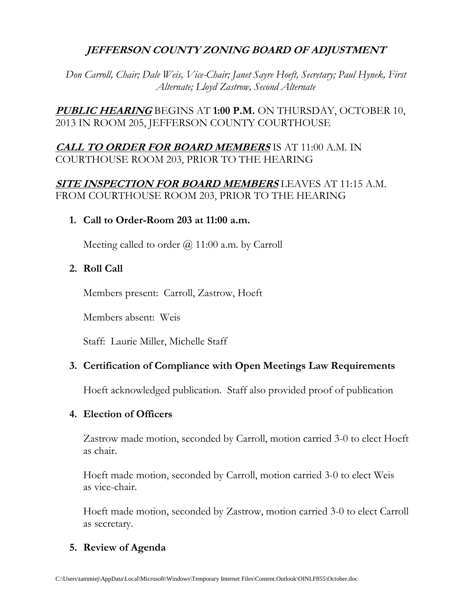## **JEFFERSON COUNTY ZONING BOARD OF ADJUSTMENT**

*Don Carroll, Chair; Dale Weis, Vice-Chair; Janet Sayre Hoeft, Secretary; Paul Hynek, First Alternate; Lloyd Zastrow, Second Alternate*

**PUBLIC HEARING** BEGINS AT **1:00 P.M.** ON THURSDAY, OCTOBER 10, 2013 IN ROOM 205, JEFFERSON COUNTY COURTHOUSE

## **CALL TO ORDER FOR BOARD MEMBERS** IS AT 11:00 A.M. IN COURTHOUSE ROOM 203, PRIOR TO THE HEARING

## **SITE INSPECTION FOR BOARD MEMBERS** LEAVES AT 11:15 A.M. FROM COURTHOUSE ROOM 203, PRIOR TO THE HEARING

#### **1. Call to Order-Room 203 at 11:00 a.m.**

Meeting called to order  $\omega$  11:00 a.m. by Carroll

## **2. Roll Call**

Members present: Carroll, Zastrow, Hoeft

Members absent: Weis

Staff: Laurie Miller, Michelle Staff

## **3. Certification of Compliance with Open Meetings Law Requirements**

Hoeft acknowledged publication. Staff also provided proof of publication

## **4. Election of Officers**

Zastrow made motion, seconded by Carroll, motion carried 3-0 to elect Hoeft as chair.

Hoeft made motion, seconded by Carroll, motion carried 3-0 to elect Weis as vice-chair.

Hoeft made motion, seconded by Zastrow, motion carried 3-0 to elect Carroll as secretary.

## **5. Review of Agenda**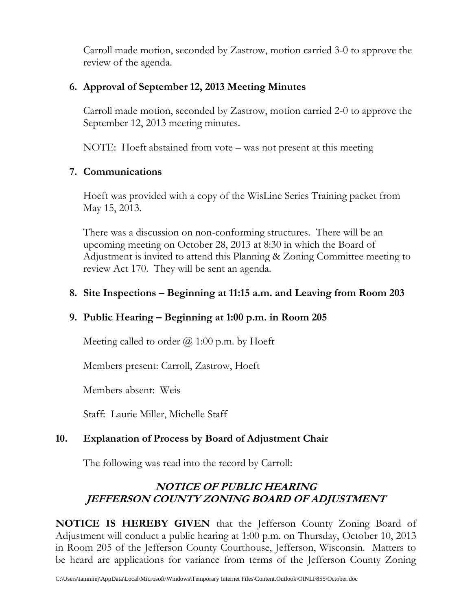Carroll made motion, seconded by Zastrow, motion carried 3-0 to approve the review of the agenda.

## **6. Approval of September 12, 2013 Meeting Minutes**

Carroll made motion, seconded by Zastrow, motion carried 2-0 to approve the September 12, 2013 meeting minutes.

NOTE: Hoeft abstained from vote – was not present at this meeting

## **7. Communications**

Hoeft was provided with a copy of the WisLine Series Training packet from May 15, 2013.

There was a discussion on non-conforming structures. There will be an upcoming meeting on October 28, 2013 at 8:30 in which the Board of Adjustment is invited to attend this Planning & Zoning Committee meeting to review Act 170. They will be sent an agenda.

## **8. Site Inspections – Beginning at 11:15 a.m. and Leaving from Room 203**

## **9. Public Hearing – Beginning at 1:00 p.m. in Room 205**

Meeting called to order  $\omega$  1:00 p.m. by Hoeft

Members present: Carroll, Zastrow, Hoeft

Members absent: Weis

Staff: Laurie Miller, Michelle Staff

## **10. Explanation of Process by Board of Adjustment Chair**

The following was read into the record by Carroll:

# **NOTICE OF PUBLIC HEARING JEFFERSON COUNTY ZONING BOARD OF ADJUSTMENT**

**NOTICE IS HEREBY GIVEN** that the Jefferson County Zoning Board of Adjustment will conduct a public hearing at 1:00 p.m. on Thursday, October 10, 2013 in Room 205 of the Jefferson County Courthouse, Jefferson, Wisconsin. Matters to be heard are applications for variance from terms of the Jefferson County Zoning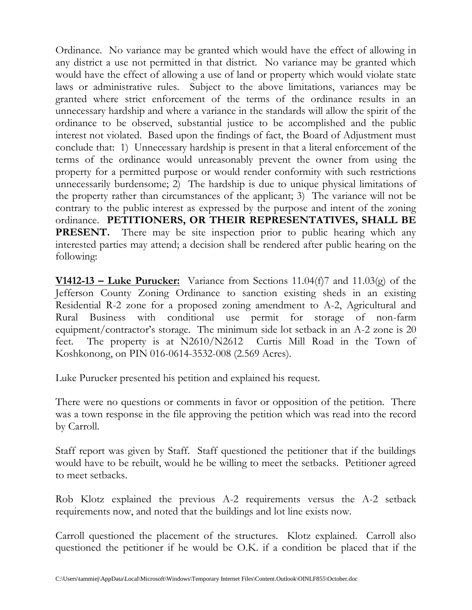Ordinance. No variance may be granted which would have the effect of allowing in any district a use not permitted in that district. No variance may be granted which would have the effect of allowing a use of land or property which would violate state laws or administrative rules. Subject to the above limitations, variances may be granted where strict enforcement of the terms of the ordinance results in an unnecessary hardship and where a variance in the standards will allow the spirit of the ordinance to be observed, substantial justice to be accomplished and the public interest not violated. Based upon the findings of fact, the Board of Adjustment must conclude that: 1) Unnecessary hardship is present in that a literal enforcement of the terms of the ordinance would unreasonably prevent the owner from using the property for a permitted purpose or would render conformity with such restrictions unnecessarily burdensome; 2) The hardship is due to unique physical limitations of the property rather than circumstances of the applicant; 3) The variance will not be contrary to the public interest as expressed by the purpose and intent of the zoning ordinance. **PETITIONERS, OR THEIR REPRESENTATIVES, SHALL BE PRESENT.** There may be site inspection prior to public hearing which any interested parties may attend; a decision shall be rendered after public hearing on the following:

**V1412-13 – Luke Purucker:** Variance from Sections 11.04(f)7 and 11.03(g) of the Jefferson County Zoning Ordinance to sanction existing sheds in an existing Residential R-2 zone for a proposed zoning amendment to A-2, Agricultural and Rural Business with conditional use permit for storage of non-farm equipment/contractor's storage. The minimum side lot setback in an A-2 zone is 20 feet. The property is at N2610/N2612 Curtis Mill Road in the Town of Koshkonong, on PIN 016-0614-3532-008 (2.569 Acres).

Luke Purucker presented his petition and explained his request.

There were no questions or comments in favor or opposition of the petition. There was a town response in the file approving the petition which was read into the record by Carroll.

Staff report was given by Staff. Staff questioned the petitioner that if the buildings would have to be rebuilt, would he be willing to meet the setbacks. Petitioner agreed to meet setbacks.

Rob Klotz explained the previous A-2 requirements versus the A-2 setback requirements now, and noted that the buildings and lot line exists now.

Carroll questioned the placement of the structures. Klotz explained. Carroll also questioned the petitioner if he would be O.K. if a condition be placed that if the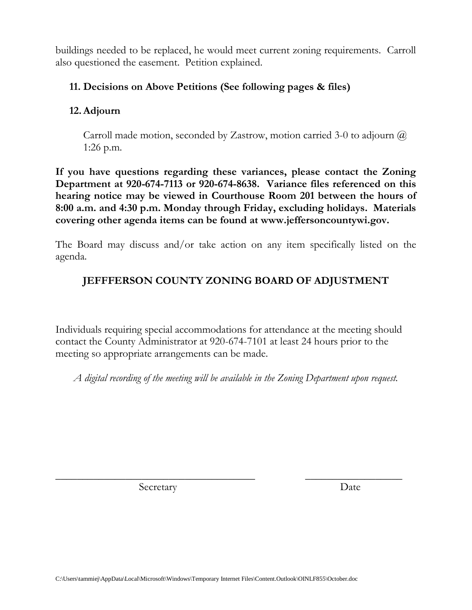buildings needed to be replaced, he would meet current zoning requirements. Carroll also questioned the easement. Petition explained.

#### **11. Decisions on Above Petitions (See following pages & files)**

#### **12.Adjourn**

Carroll made motion, seconded by Zastrow, motion carried 3-0 to adjourn  $\omega$ 1:26 p.m.

**If you have questions regarding these variances, please contact the Zoning Department at 920-674-7113 or 920-674-8638. Variance files referenced on this hearing notice may be viewed in Courthouse Room 201 between the hours of 8:00 a.m. and 4:30 p.m. Monday through Friday, excluding holidays. Materials covering other agenda items can be found at www.jeffersoncountywi.gov.**

The Board may discuss and/or take action on any item specifically listed on the agenda.

## **JEFFFERSON COUNTY ZONING BOARD OF ADJUSTMENT**

Individuals requiring special accommodations for attendance at the meeting should contact the County Administrator at 920-674-7101 at least 24 hours prior to the meeting so appropriate arrangements can be made.

*A digital recording of the meeting will be available in the Zoning Department upon request.*

\_\_\_\_\_\_\_\_\_\_\_\_\_\_\_\_\_\_\_\_\_\_\_\_\_\_\_\_\_\_\_\_\_\_\_\_\_ \_\_\_\_\_\_\_\_\_\_\_\_\_\_\_\_\_\_

Secretary Date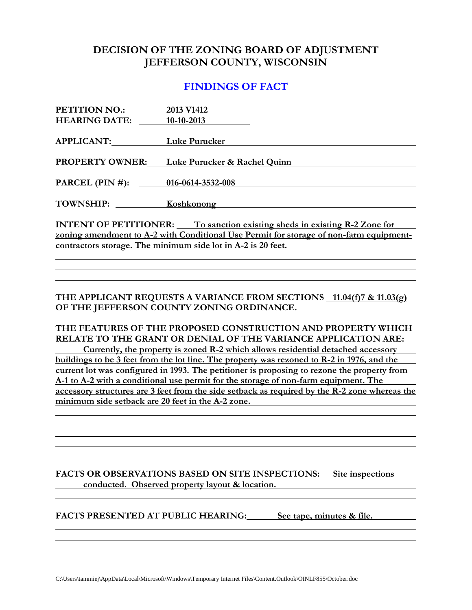## **DECISION OF THE ZONING BOARD OF ADJUSTMENT JEFFERSON COUNTY, WISCONSIN**

#### **FINDINGS OF FACT**

| <b>PETITION NO.:</b>                                                                   | 2013 V1412                                                  |
|----------------------------------------------------------------------------------------|-------------------------------------------------------------|
| <b>HEARING DATE:</b>                                                                   | 10-10-2013                                                  |
|                                                                                        |                                                             |
| APPLICANT:                                                                             | Luke Purucker                                               |
|                                                                                        |                                                             |
| <b>PROPERTY OWNER:</b>                                                                 | Luke Purucker & Rachel Quinn                                |
|                                                                                        |                                                             |
| PARCEL (PIN #): $016-0614-3532-008$                                                    |                                                             |
|                                                                                        |                                                             |
| TOWNSHIP:                                                                              | Koshkonong<br><u> 1989 - Andrea Andrew Maria (h. 1989).</u> |
|                                                                                        |                                                             |
| <b>INTENT OF PETITIONER:</b> To sanction existing sheds in existing R-2 Zone for       |                                                             |
| zoning amendment to A-2 with Conditional Use Permit for storage of non-farm equipment- |                                                             |
| contractors storage. The minimum side lot in A-2 is 20 feet.                           |                                                             |

**THE APPLICANT REQUESTS A VARIANCE FROM SECTIONS 11.04(f)7 & 11.03(g) OF THE JEFFERSON COUNTY ZONING ORDINANCE.**

**THE FEATURES OF THE PROPOSED CONSTRUCTION AND PROPERTY WHICH RELATE TO THE GRANT OR DENIAL OF THE VARIANCE APPLICATION ARE:**

**Currently, the property is zoned R-2 which allows residential detached accessory buildings to be 3 feet from the lot line. The property was rezoned to R-2 in 1976, and the current lot was configured in 1993. The petitioner is proposing to rezone the property from A-1 to A-2 with a conditional use permit for the storage of non-farm equipment. The accessory structures are 3 feet from the side setback as required by the R-2 zone whereas the minimum side setback are 20 feet in the A-2 zone.**

**FACTS OR OBSERVATIONS BASED ON SITE INSPECTIONS: Site inspections conducted. Observed property layout & location.**

**FACTS PRESENTED AT PUBLIC HEARING: See tape, minutes & file.**